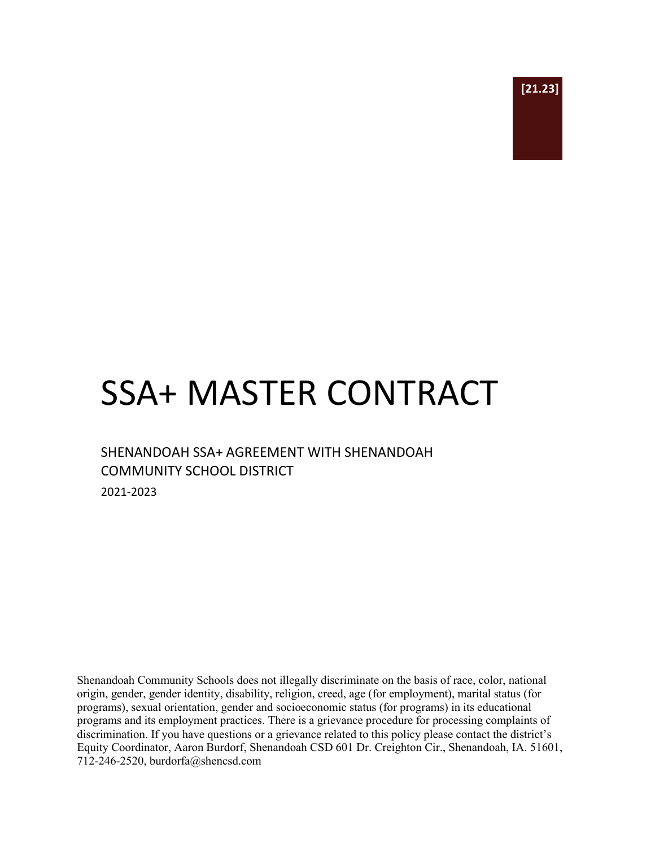

# SSA+ MASTER CONTRACT

## SHENANDOAH SSA+ AGREEMENT WITH SHENANDOAH COMMUNITY SCHOOL DISTRICT

2021-2023

Shenandoah Community Schools does not illegally discriminate on the basis of race, color, national origin, gender, gender identity, disability, religion, creed, age (for employment), marital status (for programs), sexual orientation, gender and socioeconomic status (for programs) in its educational programs and its employment practices. There is a grievance procedure for processing complaints of discrimination. If you have questions or a grievance related to this policy please contact the district's Equity Coordinator, Aaron Burdorf, Shenandoah CSD 601 Dr. Creighton Cir., Shenandoah, IA. 51601, 712-246-2520, burdorfa@shencsd.com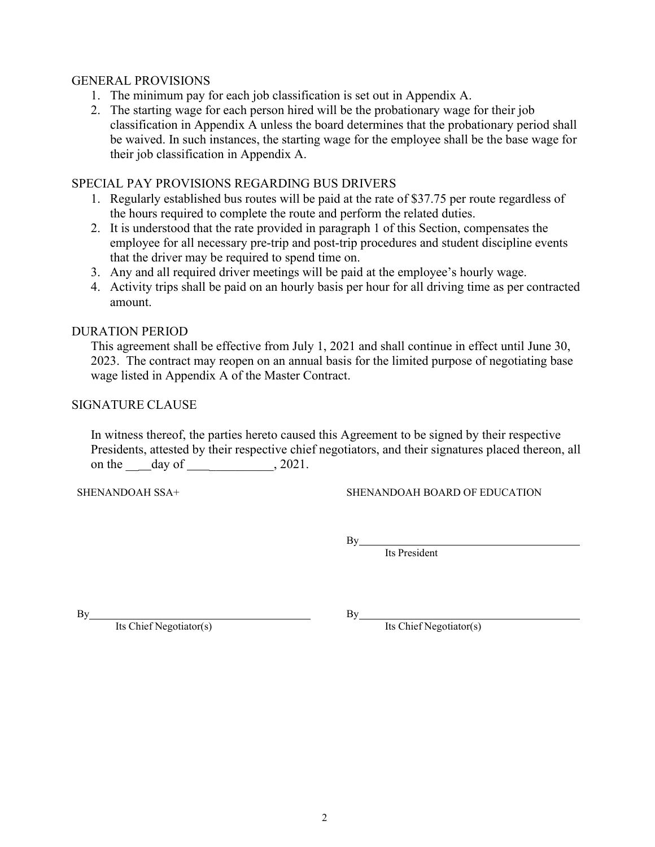#### GENERAL PROVISIONS

- 1. The minimum pay for each job classification is set out in Appendix A.
- 2. The starting wage for each person hired will be the probationary wage for their job classification in Appendix A unless the board determines that the probationary period shall be waived. In such instances, the starting wage for the employee shall be the base wage for their job classification in Appendix A.

#### SPECIAL PAY PROVISIONS REGARDING BUS DRIVERS

- 1. Regularly established bus routes will be paid at the rate of \$37.75 per route regardless of the hours required to complete the route and perform the related duties.
- 2. It is understood that the rate provided in paragraph 1 of this Section, compensates the employee for all necessary pre-trip and post-trip procedures and student discipline events that the driver may be required to spend time on.
- 3. Any and all required driver meetings will be paid at the employee's hourly wage.
- 4. Activity trips shall be paid on an hourly basis per hour for all driving time as per contracted amount.

#### DURATION PERIOD

This agreement shall be effective from July 1, 2021 and shall continue in effect until June 30, 2023. The contract may reopen on an annual basis for the limited purpose of negotiating base wage listed in Appendix A of the Master Contract.

#### SIGNATURE CLAUSE

In witness thereof, the parties hereto caused this Agreement to be signed by their respective Presidents, attested by their respective chief negotiators, and their signatures placed thereon, all on the <u>\_\_</u>\_day of \_\_\_\_\_\_\_\_\_\_\_, 2021.

SHENANDOAH SSA+ SHENANDOAH BOARD OF EDUCATION

 $By$ 

Its President

 $By$  By

Its Chief Negotiator(s) By Its Chief Negotiator(s)